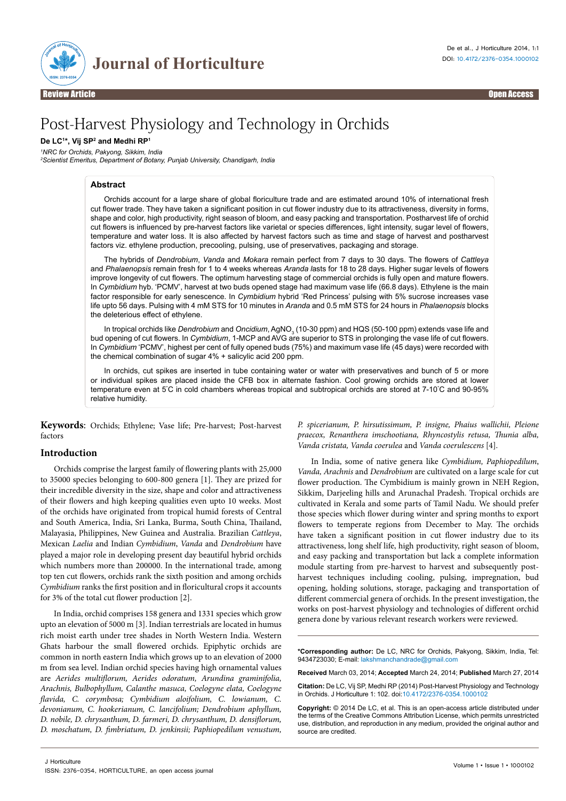

# Post-Harvest Physiology and Technology in Orchids

### **De LC1 \*, Vij SP2 and Medhi RP1**

*1 NRC for Orchids, Pakyong, Sikkim, India 2 Scientist Emeritus, Department of Botany, Punjab University, Chandigarh, India*

### **Abstract**

Orchids account for a large share of global floriculture trade and are estimated around 10% of international fresh cut flower trade. They have taken a significant position in cut flower industry due to its attractiveness, diversity in forms, shape and color, high productivity, right season of bloom, and easy packing and transportation. Postharvest life of orchid cut flowers is influenced by pre-harvest factors like varietal or species differences, light intensity, sugar level of flowers, temperature and water loss. It is also affected by harvest factors such as time and stage of harvest and postharvest factors viz. ethylene production, precooling, pulsing, use of preservatives, packaging and storage.

The hybrids of *Dendrobium*, *Vanda* and *Mokara* remain perfect from 7 days to 30 days. The flowers of *Cattleya* and *Phalaenopsis* remain fresh for 1 to 4 weeks whereas *Aranda l*asts for 18 to 28 days. Higher sugar levels of flowers improve longevity of cut flowers. The optimum harvesting stage of commercial orchids is fully open and mature flowers. In *Cymbidium* hyb. 'PCMV', harvest at two buds opened stage had maximum vase life (66.8 days). Ethylene is the main factor responsible for early senescence. In *Cymbidium* hybrid 'Red Princess' pulsing with 5% sucrose increases vase life upto 56 days. Pulsing with 4 mM STS for 10 minutes in *Aranda* and 0.5 mM STS for 24 hours in *Phalaenopsis* blocks the deleterious effect of ethylene.

In tropical orchids like *Dendrobium* and *Oncidium*, AgNO<sub>3</sub> (10-30 ppm) and HQS (50-100 ppm) extends vase life and bud opening of cut flowers. In *Cymbidium*, 1-MCP and AVG are superior to STS in prolonging the vase life of cut flowers. In *Cymbidium* 'PCMV', highest per cent of fully opened buds (75%) and maximum vase life (45 days) were recorded with the chemical combination of sugar 4% + salicylic acid 200 ppm.

In orchids, cut spikes are inserted in tube containing water or water with preservatives and bunch of 5 or more or individual spikes are placed inside the CFB box in alternate fashion. Cool growing orchids are stored at lower temperature even at 5° C in cold chambers whereas tropical and subtropical orchids are stored at 7-10° C and 90-95% relative humidity.

**Keywords**: Orchids; Ethylene; Vase life; Pre-harvest; Post-harvest factors

# **Introduction**

Orchids comprise the largest family of flowering plants with 25,000 to 35000 species belonging to 600-800 genera [1]. They are prized for their incredible diversity in the size, shape and color and attractiveness of their flowers and high keeping qualities even upto 10 weeks. Most of the orchids have originated from tropical humid forests of Central and South America, India, Sri Lanka, Burma, South China, Thailand, Malayasia, Philippines, New Guinea and Australia. Brazilian *Cattleya*, Mexican *Laelia* and Indian *Cymbidium*, *Vanda* and *Dendrobium* have played a major role in developing present day beautiful hybrid orchids which numbers more than 200000. In the international trade, among top ten cut flowers, orchids rank the sixth position and among orchids *Cymbidium* ranks the first position and in floricultural crops it accounts for 3% of the total cut flower production [2].

In India, orchid comprises 158 genera and 1331 species which grow upto an elevation of 5000 m [3]. Indian terrestrials are located in humus rich moist earth under tree shades in North Western India. Western Ghats harbour the small flowered orchids. Epiphytic orchids are common in north eastern India which grows up to an elevation of 2000 m from sea level. Indian orchid species having high ornamental values are *Aerides multiflorum, Aerides odoratum, Arundina graminifolia, Arachnis, Bulbophyllum, Calanthe masuca, Coelogyne elata, Coelogyne flavida, C. corymbosa; Cymbidium aloifolium, C. lowianum, C. devonianum, C. hookerianum, C. lancifolium; Dendrobium aphyllum, D. nobile, D. chrysanthum, D. farmeri, D. chrysanthum, D. densiflorum, D. moschatum, D. fimbriatum, D. jenkinsii; Paphiopedilum venustum,*

*P. spicerianum, P. hirsutissimum, P. insigne, Phaius wallichii, Pleione praecox, Renanthera imschootiana, Rhyncostylis retusa, Thunia alba, Vanda cristata, Vanda coerulea* and *Vanda coerulescens* [4].

In India, some of native genera like *Cymbidium, Paphiopedilum*, *Vanda, Arachnis* and *Dendrobium* are cultivated on a large scale for cut flower production. The Cymbidium is mainly grown in NEH Region, Sikkim, Darjeeling hills and Arunachal Pradesh. Tropical orchids are cultivated in Kerala and some parts of Tamil Nadu. We should prefer those species which flower during winter and spring months to export flowers to temperate regions from December to May. The orchids have taken a significant position in cut flower industry due to its attractiveness, long shelf life, high productivity, right season of bloom, and easy packing and transportation but lack a complete information module starting from pre-harvest to harvest and subsequently postharvest techniques including cooling, pulsing, impregnation, bud opening, holding solutions, storage, packaging and transportation of different commercial genera of orchids. In the present investigation, the works on post-harvest physiology and technologies of different orchid genera done by various relevant research workers were reviewed.

**\*Corresponding author:** De LC, NRC for Orchids, Pakyong, Sikkim, India, Tel: 9434723030; E-mail: lakshmanchandrade@gmail.com

**Received** March 03, 2014; **Accepted** March 24, 2014; **Published** March 27, 2014

**Citation:** De LC, Vij SP, Medhi RP (2014) Post-Harvest Physiology and Technology in Orchids. J Horticulture 1: 102. doi:10.4172/2376-0354.1000102

**Copyright:** © 2014 De LC, et al. This is an open-access article distributed under the terms of the Creative Commons Attribution License, which permits unrestricted use, distribution, and reproduction in any medium, provided the original author and source are credited.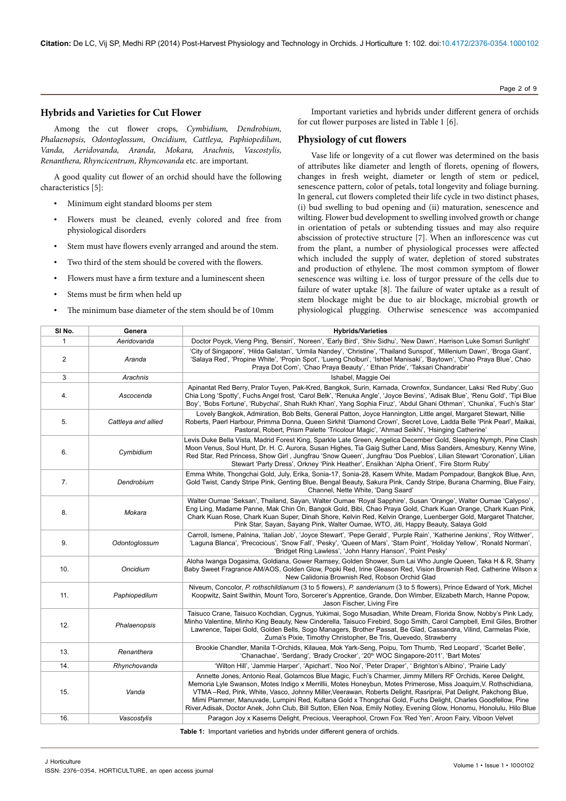**Citation:** De LC, Vij SP, Medhi RP (2014) Post-Harvest Physiology and Technology in Orchids. J Horticulture 1: 102. doi:10.4172/2376-0354.1000102

# **Hybrids and Varieties for Cut Flower**

Among the cut flower crops, *Cymbidium, Dendrobium, Phalaenopsis, Odontoglossum, Oncidium, Cattleya, Paphiopedilum, Vanda, Aeridovanda, Aranda, Mokara, Arachnis, Vascostylis, Renanthera, Rhyncicentrum, Rhyncovanda* etc. are important.

A good quality cut flower of an orchid should have the following characteristics [5]:

- Minimum eight standard blooms per stem
- Flowers must be cleaned, evenly colored and free from physiological disorders
- Stem must have flowers evenly arranged and around the stem.
- Two third of the stem should be covered with the flowers.
- Flowers must have a firm texture and a luminescent sheen
- Stems must be firm when held up
- The minimum base diameter of the stem should be of 10mm

Important varieties and hybrids under different genera of orchids for cut flower purposes are listed in Table 1 [6].

# **Physiology of cut flowers**

Vase life or longevity of a cut flower was determined on the basis of attributes like diameter and length of florets, opening of flowers, changes in fresh weight, diameter or length of stem or pedicel, senescence pattern, color of petals, total longevity and foliage burning. In general, cut flowers completed their life cycle in two distinct phases, (i) bud swelling to bud opening and (ii) maturation, senescence and wilting. Flower bud development to swelling involved growth or change in orientation of petals or subtending tissues and may also require abscission of protective structure [7]. When an inflorescence was cut from the plant, a number of physiological processes were affected which included the supply of water, depletion of stored substrates and production of ethylene. The most common symptom of flower senescence was wilting i.e. loss of turgor pressure of the cells due to failure of water uptake [8]. The failure of water uptake as a result of stem blockage might be due to air blockage, microbial growth or physiological plugging. Otherwise senescence was accompanied

| SI No.         | Genera              | <b>Hybrids/Varieties</b>                                                                                                                                                                                                                                                                                                                                                                                                                                                                                                                                                                  |
|----------------|---------------------|-------------------------------------------------------------------------------------------------------------------------------------------------------------------------------------------------------------------------------------------------------------------------------------------------------------------------------------------------------------------------------------------------------------------------------------------------------------------------------------------------------------------------------------------------------------------------------------------|
| $\mathbf{1}$   | Aeridovanda         | Doctor Poyck, Vieng Ping, 'Bensiri', 'Noreen', 'Early Bird', 'Shiv Sidhu', 'New Dawn', Harrison Luke Somsri Sunlight'                                                                                                                                                                                                                                                                                                                                                                                                                                                                     |
| $\overline{2}$ | Aranda              | 'City of Singapore', 'Hilda Galistan', 'Urmila Nandey', 'Christine', 'Thailand Sunspot', 'Millenium Dawn', 'Broga Giant',<br>'Salaya Red', 'Propine White', 'Propin Spot', 'Lueng Cholburi', 'Ishbel Manisaki', 'Baytown', 'Chao Praya Blue', Chao<br>Praya Dot Com', 'Chao Praya Beauty', ' Ethan Pride', 'Taksari Chandrabir'                                                                                                                                                                                                                                                           |
| 3              | Arachnis            | Ishabel, Maggie Oei                                                                                                                                                                                                                                                                                                                                                                                                                                                                                                                                                                       |
| 4.             | Ascocenda           | Apinantat Red Berry, Pralor Tuyen, Pak-Kred, Bangkok, Surin, Karnada, Crownfox, Sundancer, Laksi 'Red Ruby', Guo<br>Chia Long 'Spotty', Fuchs Angel frost, 'Carol Belk', 'Renuka Angle', 'Joyce Bevins', 'Adisak Blue', 'Renu Gold', 'Tipi Blue<br>Boy', 'Bobs Fortune', 'Rubychai', Shah Rukh Khan', Yang Sophia Firuz', 'Abdul Ghani Othman', 'Chunika', 'Fuch's Star'                                                                                                                                                                                                                  |
| 5.             | Cattleya and allied | Lovely Bangkok, Admiration, Bob Belts, General Patton, Joyce Hannington, Little angel, Margaret Stewart, Nillie<br>Roberts, Paerl Harbour, Primma Donna, Queen Sirkhit 'Diamond Crown', Secret Love, Ladda Belle 'Pink Pearl', Maikai,<br>Pastoral, Robert, Prism Palette 'Tricolour Magic', 'Ahmad Seikhi', 'Hsinging Catherine'                                                                                                                                                                                                                                                         |
| 6.             | Cymbidium           | Levis Duke Bella Vista, Madrid Forest King, Sparkle Late Green, Angelica December Gold, Sleeping Nymph, Pine Clash<br>Moon Venus, Soul Hunt, Dr. H. C. Aurora, Susan Highes, Tia Gaig Suther Land, Miss Sanders, Amesbury, Kenny Wine,<br>Red Star, Red Princess, Show Girl, Jungfrau 'Snow Queen', Jungfrau 'Dos Pueblos', Lilian Stewart 'Coronation', Lilian<br>Stewart 'Party Dress', Orkney 'Pink Heather', Ensikhan 'Alpha Orient', 'Fire Storm Ruby'                                                                                                                               |
| 7.             | Dendrobium          | Emma White, Thongchai Gold, July, Erika, Sonia-17, Sonia-28, Kasem White, Madam Pompadour, Bangkok Blue, Ann,<br>Gold Twist, Candy Stripe Pink, Genting Blue, Bengal Beauty, Sakura Pink, Candy Stripe, Burana Charming, Blue Fairy,<br>Channel, Nette White, 'Dang Saard'                                                                                                                                                                                                                                                                                                                |
| 8.             | Mokara              | Walter Oumae 'Seksan', Thailand, Sayan, Walter Oumae 'Royal Sapphire', Susan 'Orange', Walter Oumae 'Calypso',<br>Eng Ling, Madame Panne, Mak Chin On, Bangok Gold, Bibi, Chao Praya Gold, Chark Kuan Orange, Chark Kuan Pink,<br>Chark Kuan Rose, Chark Kuan Super, Dinah Shore, Kelvin Red, Kelvin Orange, Luenberger Gold, Margaret Thatcher,<br>Pink Star, Sayan, Sayang Pink, Walter Oumae, WTO, Jiti, Happy Beauty, Salaya Gold                                                                                                                                                     |
| 9.             | Odontoglossum       | Carroll, Ismene, Palnina, 'Italian Job', 'Joyce Stewart', 'Pepe Gerald', 'Purple Rain', 'Katherine Jenkins', 'Roy Wittwer',<br>'Laguna Blanca', 'Precocious', 'Snow Fall', 'Pesky', 'Queen of Mars', 'Stam Point', 'Holiday Yellow', 'Ronald Norman',<br>'Bridget Ring Lawless', 'John Hanry Hanson', 'Point Pesky'                                                                                                                                                                                                                                                                       |
| 10.            | Oncidium            | Aloha Iwanga Dogasima, Goldiana, Gower Ramsey, Golden Shower, Sum Lai Who Jungle Queen, Taka H & R, Sharry<br>Baby Sweet Fragrance AM/AOS, Golden Glow, Popki Red, Irine Gleason Red, Vision Brownish Red, Catherine Wilson x<br>New Calidonia Brownish Red, Robson Orchid Glad                                                                                                                                                                                                                                                                                                           |
| 11.            | Paphiopedilum       | Niveum, Concolor, P. rothschildianum (3 to 5 flowers), P. sanderianum (3 to 5 flowers), Prince Edward of York, Michel<br>Koopwitz, Saint Swithin, Mount Toro, Sorcerer's Apprentice, Grande, Don Wimber, Elizabeth March, Hanne Popow,<br>Jason Fischer, Living Fire                                                                                                                                                                                                                                                                                                                      |
| 12.            | Phalaenopsis        | Taisuco Crane, Taisuco Kochdian, Cygnus, Yukimai, Sogo Musadian, White Dream, Florida Snow, Nobby's Pink Lady,<br>Minho Valentine, Minho King Beauty, New Cinderella, Taisuco Firebird, Sogo Smith, Carol Campbell, Emil Giles, Brother<br>Lawrence, Taipei Gold, Golden Bells, Sogo Managers, Brother Passat, Be Glad, Cassandra, Vilind, Carmelas Pixie,<br>Zuma's Pixie, Timothy Christopher, Be Tris, Quevedo, Strawberry                                                                                                                                                             |
| 13.            | Renanthera          | Brookie Chandler, Manila T-Orchids, Kilauea, Mok Yark-Seng, Poipu, Tom Thumb, 'Red Leopard', 'Scarlet Belle',<br>'Chanachae', 'Serdang', 'Brady Crocker', '20 <sup>th</sup> WOC Singapore-2011', 'Bart Motes'                                                                                                                                                                                                                                                                                                                                                                             |
| 14.            | Rhynchovanda        | 'Wilton Hill', 'Jammie Harper', 'Apichart', 'Noo Noi', 'Peter Draper', 'Brighton's Albino', 'Prairie Lady'                                                                                                                                                                                                                                                                                                                                                                                                                                                                                |
| 15.            | Vanda               | Annette Jones, Antonio Real, Golamcos Blue Magic, Fuch's Charmer, Jimmy Millers RF Orchids, Keree Delight,<br>Memoria Lyle Swanson, Motes Indigo x Merrillii, Motes Honeybun, Motes Primerose, Miss Joaguim, V. Rothschidiana,<br>VTMA-Red, Pink, White, Vasco, Johnny Miller, Veerawan, Roberts Delight, Rasriprai, Pat Delight, Pakchong Blue,<br>Mimi Plammer, Manuvade, Lumpini Red, Kultana Gold x Thongchai Gold, Fuchs Delight, Charles Goodfellow, Pine<br>River, Adisak, Doctor Anek, John Club, Bill Sutton, Ellen Noa, Emily Notley, Evening Glow, Honomu, Honolulu, Hilo Blue |
| 16.            | Vascostylis         | Paragon Joy x Kasems Delight, Precious, Veeraphool, Crown Fox 'Red Yen', Aroon Fairy, Viboon Velvet                                                                                                                                                                                                                                                                                                                                                                                                                                                                                       |
|                |                     |                                                                                                                                                                                                                                                                                                                                                                                                                                                                                                                                                                                           |

**Table 1:** Important varieties and hybrids under different genera of orchids.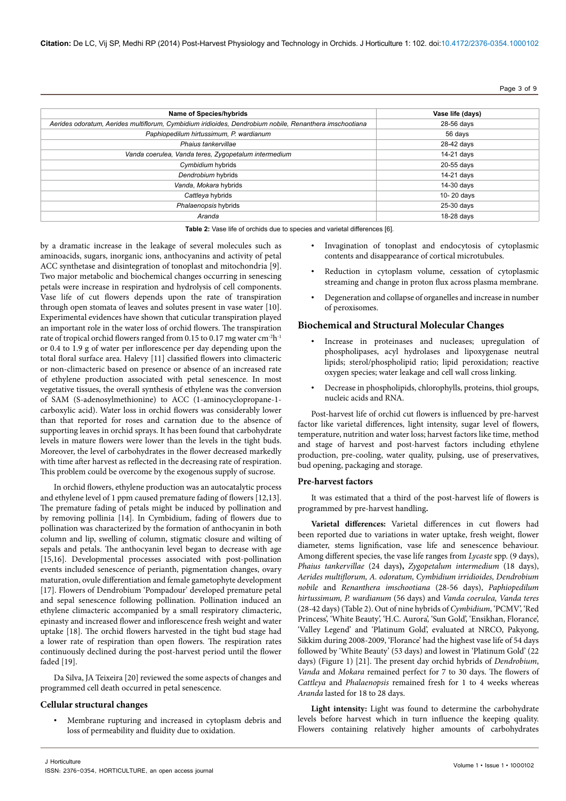**Citation:** De LC, Vij SP, Medhi RP (2014) Post-Harvest Physiology and Technology in Orchids. J Horticulture 1: 102. doi:10.4172/2376-0354.1000102

### Page 3 of 9

| Name of Species/hybrids                                                                                 | Vase life (days) |
|---------------------------------------------------------------------------------------------------------|------------------|
| Aerides odoratum, Aerides multiflorum, Cymbidium iridioides, Dendrobium nobile, Renanthera imschootiana | 28-56 days       |
| Paphiopedilum hirtussimum, P. wardianum                                                                 | 56 days          |
| Phaius tankervillae                                                                                     | 28-42 days       |
| Vanda coerulea, Vanda teres, Zygopetalum intermedium                                                    | 14-21 days       |
| Cymbidium hybrids                                                                                       | 20-55 days       |
| Dendrobium hybrids                                                                                      | 14-21 days       |
| Vanda, Mokara hybrids                                                                                   | 14-30 days       |
| Cattleya hybrids                                                                                        | 10-20 days       |
| Phalaenopsis hybrids                                                                                    | 25-30 days       |
| Aranda                                                                                                  | 18-28 days       |

**Table 2:** Vase life of orchids due to species and varietal differences [6].

by a dramatic increase in the leakage of several molecules such as aminoacids, sugars, inorganic ions, anthocyanins and activity of petal ACC synthetase and disintegration of tonoplast and mitochondria [9]. Two major metabolic and biochemical changes occurring in senescing petals were increase in respiration and hydrolysis of cell components. Vase life of cut flowers depends upon the rate of transpiration through open stomata of leaves and solutes present in vase water [10]. Experimental evidences have shown that cuticular transpiration played an important role in the water loss of orchid flowers. The transpiration rate of tropical orchid flowers ranged from 0.15 to 0.17 mg water cm-2h-1 or 0.4 to 1.9 g of water per inflorescence per day depending upon the total floral surface area. Halevy [11] classified flowers into climacteric or non-climacteric based on presence or absence of an increased rate of ethylene production associated with petal senescence. In most vegetative tissues, the overall synthesis of ethylene was the conversion of SAM (S-adenosylmethionine) to ACC (1-aminocyclopropane-1 carboxylic acid). Water loss in orchid flowers was considerably lower than that reported for roses and carnation due to the absence of supporting leaves in orchid sprays. It has been found that carbohydrate levels in mature flowers were lower than the levels in the tight buds. Moreover, the level of carbohydrates in the flower decreased markedly with time after harvest as reflected in the decreasing rate of respiration. This problem could be overcome by the exogenous supply of sucrose.

In orchid flowers, ethylene production was an autocatalytic process and ethylene level of 1 ppm caused premature fading of flowers [12,13]. The premature fading of petals might be induced by pollination and by removing pollinia [14]. In Cymbidium, fading of flowers due to pollination was characterized by the formation of anthocyanin in both column and lip, swelling of column, stigmatic closure and wilting of sepals and petals. The anthocyanin level began to decrease with age [15,16]. Developmental processes associated with post-pollination events included senescence of perianth, pigmentation changes, ovary maturation, ovule differentiation and female gametophyte development [17]. Flowers of Dendrobium 'Pompadour' developed premature petal and sepal senescence following pollination. Pollination induced an ethylene climacteric accompanied by a small respiratory climacteric, epinasty and increased flower and inflorescence fresh weight and water uptake [18]. The orchid flowers harvested in the tight bud stage had a lower rate of respiration than open flowers. The respiration rates continuously declined during the post-harvest period until the flower faded [19].

Da Silva, JA Teixeira [20] reviewed the some aspects of changes and programmed cell death occurred in petal senescence.

### **Cellular structural changes**

Membrane rupturing and increased in cytoplasm debris and loss of permeability and fluidity due to oxidation.

- Invagination of tonoplast and endocytosis of cytoplasmic contents and disappearance of cortical microtubules.
- Reduction in cytoplasm volume, cessation of cytoplasmic streaming and change in proton flux across plasma membrane.
- Degeneration and collapse of organelles and increase in number of peroxisomes.

# **Biochemical and Structural Molecular Changes**

- Increase in proteinases and nucleases; upregulation of phospholipases, acyl hydrolases and lipoxygenase neutral lipids; sterol/phospholipid ratio; lipid peroxidation; reactive oxygen species; water leakage and cell wall cross linking.
- Decrease in phospholipids, chlorophylls, proteins, thiol groups, nucleic acids and RNA.

Post-harvest life of orchid cut flowers is influenced by pre-harvest factor like varietal differences, light intensity, sugar level of flowers, temperature, nutrition and water loss; harvest factors like time, method and stage of harvest and post-harvest factors including ethylene production, pre-cooling, water quality, pulsing, use of preservatives, bud opening, packaging and storage.

### **Pre-harvest factors**

It was estimated that a third of the post-harvest life of flowers is programmed by pre-harvest handling**.** 

**Varietal differences:** Varietal differences in cut flowers had been reported due to variations in water uptake, fresh weight, flower diameter, stems lignification, vase life and senescence behaviour. Among different species, the vase life ranges from *Lycaste* spp. (9 days), *Phaius tankervillae* (24 days**),** *Zygopetalum intermedium* (18 days), *Aerides multiflorum, A. odoratum, Cymbidium irridioides, Dendrobium nobile* and *Renanthera imschootiana* (28-56 days), *Paphiopedilum hirtussimum, P. wardianum* (56 days) and *Vanda coerulea, Vanda teres* (28-42 days) (Table 2). Out of nine hybrids of *Cymbidium*, 'PCMV', 'Red Princess', 'White Beauty', 'H.C. Aurora', 'Sun Gold', 'Ensikhan, Florance', 'Valley Legend' and 'Platinum Gold', evaluated at NRCO, Pakyong, Sikkim during 2008-2009, 'Florance' had the highest vase life of 54 days followed by 'White Beauty' (53 days) and lowest in 'Platinum Gold' (22 days) (Figure 1) [21]. The present day orchid hybrids of *Dendrobium*, *Vanda* and *Mokara* remained perfect for 7 to 30 days. The flowers of *Cattleya* and *Phalaenopsis* remained fresh for 1 to 4 weeks whereas *Aranda* lasted for 18 to 28 days.

**Light intensity:** Light was found to determine the carbohydrate levels before harvest which in turn influence the keeping quality. Flowers containing relatively higher amounts of carbohydrates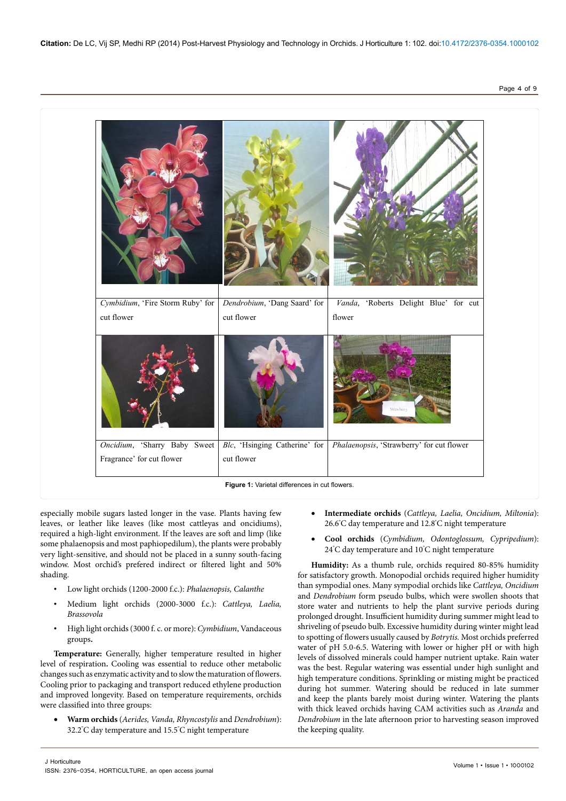# Page 4 of 9



especially mobile sugars lasted longer in the vase. Plants having few leaves, or leather like leaves (like most cattleyas and oncidiums), required a high-light environment. If the leaves are soft and limp (like some phalaenopsis and most paphiopedilum), the plants were probably very light-sensitive, and should not be placed in a sunny south-facing window. Most orchid's prefered indirect or filtered light and 50% shading.

- • Low light orchids (1200-2000 f.c.): *Phalaenopsis, Calanthe*
- Medium light orchids (2000-3000 f.c.): *Cattleya, Laelia*, *Brassovola*
- High light orchids (3000 f. c. or more): *Cymbidium*, Vandaceous groups**.**

**Temperature:** Generally, higher temperature resulted in higher level of respiration**.** Cooling was essential to reduce other metabolic changes such as enzymatic activity and to slow the maturation of flowers. Cooling prior to packaging and transport reduced ethylene production and improved longevity. Based on temperature requirements, orchids were classified into three groups:

• **Warm orchids** (*Aerides, Vanda, Rhyncostylis* and *Dendrobium*): 32.2° C day temperature and 15.5° C night temperature

- • **Intermediate orchids** (*Cattleya, Laelia, Oncidium, Miltonia*): 26.6° C day temperature and 12.8° C night temperature
- • **Cool orchids** (*Cymbidium, Odontoglossum, Cypripedium*): 24° C day temperature and 10° C night temperature

**Humidity:** As a thumb rule, orchids required 80-85% humidity for satisfactory growth. Monopodial orchids required higher humidity than sympodial ones. Many sympodial orchids like *Cattleya, Oncidium* and *Dendrobium* form pseudo bulbs, which were swollen shoots that store water and nutrients to help the plant survive periods during prolonged drought. Insufficient humidity during summer might lead to shriveling of pseudo bulb. Excessive humidity during winter might lead to spotting of flowers usually caused by *Botrytis.* Most orchids preferred water of pH 5.0-6.5. Watering with lower or higher pH or with high levels of dissolved minerals could hamper nutrient uptake. Rain water was the best. Regular watering was essential under high sunlight and high temperature conditions. Sprinkling or misting might be practiced during hot summer. Watering should be reduced in late summer and keep the plants barely moist during winter. Watering the plants with thick leaved orchids having CAM activities such as *Aranda* and *Dendrobium* in the late afternoon prior to harvesting season improved the keeping quality.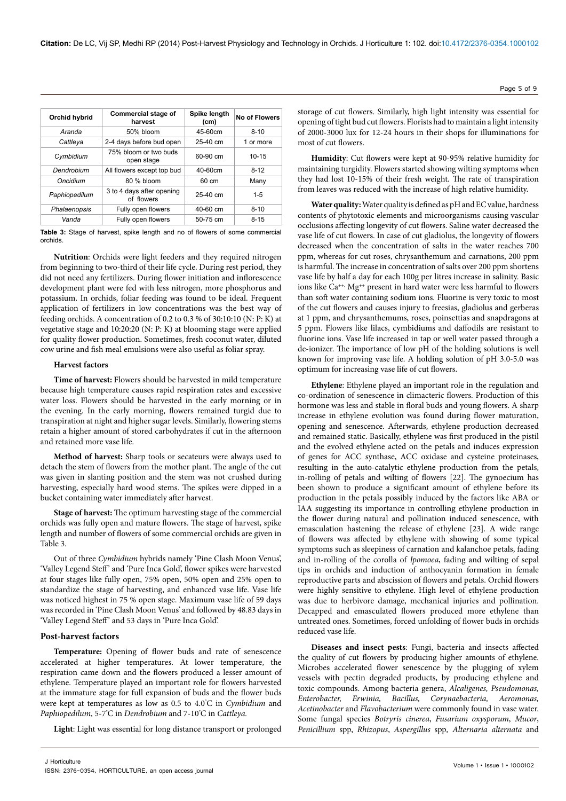**Citation:** De LC, Vij SP, Medhi RP (2014) Post-Harvest Physiology and Technology in Orchids. J Horticulture 1: 102. doi:10.4172/2376-0354.1000102

| Orchid hybrid | Commercial stage of<br>harvest          | Spike length<br>(cm) | <b>No of Flowers</b> |
|---------------|-----------------------------------------|----------------------|----------------------|
| Aranda        | 50% bloom                               | 45-60cm              | $8 - 10$             |
| Cattleya      | 2-4 days before bud open                | 25-40 cm             | 1 or more            |
| Cymbidium     | 75% bloom or two buds<br>open stage     | 60-90 cm             | $10 - 15$            |
| Dendrobium    | All flowers except top bud              | 40-60cm              | $8 - 12$             |
| Oncidium      | 80 % bloom                              | 60 cm                | Many                 |
| Paphiopedilum | 3 to 4 days after opening<br>of flowers | 25-40 cm             | $1 - 5$              |
| Phalaenopsis  | Fully open flowers                      | 40-60 cm             | $8 - 10$             |
| Vanda         | Fully open flowers                      | 50-75 cm             | $8 - 15$             |

**Table 3:** Stage of harvest, spike length and no of flowers of some commercial orchids.

**Nutrition**: Orchids were light feeders and they required nitrogen from beginning to two-third of their life cycle. During rest period, they did not need any fertilizers. During flower initiation and inflorescence development plant were fed with less nitrogen, more phosphorus and potassium. In orchids, foliar feeding was found to be ideal. Frequent application of fertilizers in low concentrations was the best way of feeding orchids. A concentration of 0.2 to 0.3 % of 30:10:10 (N: P: K) at vegetative stage and 10:20:20 (N: P: K) at blooming stage were applied for quality flower production. Sometimes, fresh coconut water, diluted cow urine and fish meal emulsions were also useful as foliar spray.

#### **Harvest factors**

**Time of harvest:** Flowers should be harvested in mild temperature because high temperature causes rapid respiration rates and excessive water loss. Flowers should be harvested in the early morning or in the evening. In the early morning, flowers remained turgid due to transpiration at night and higher sugar levels. Similarly, flowering stems retain a higher amount of stored carbohydrates if cut in the afternoon and retained more vase life.

**Method of harvest:** Sharp tools or secateurs were always used to detach the stem of flowers from the mother plant. The angle of the cut was given in slanting position and the stem was not crushed during harvesting, especially hard wood stems. The spikes were dipped in a bucket containing water immediately after harvest.

**Stage of harvest:** The optimum harvesting stage of the commercial orchids was fully open and mature flowers. The stage of harvest, spike length and number of flowers of some commercial orchids are given in Table 3.

Out of three *Cymbidium* hybrids namely 'Pine Clash Moon Venus', 'Valley Legend Steff' and 'Pure Inca Gold', flower spikes were harvested at four stages like fully open, 75% open, 50% open and 25% open to standardize the stage of harvesting, and enhanced vase life. Vase life was noticed highest in 75 % open stage. Maximum vase life of 59 days was recorded in 'Pine Clash Moon Venus' and followed by 48.83 days in 'Valley Legend Steff' and 53 days in 'Pure Inca Gold'.

### **Post-harvest factors**

**Temperature:** Opening of flower buds and rate of senescence accelerated at higher temperatures. At lower temperature, the respiration came down and the flowers produced a lesser amount of ethylene. Temperature played an important role for flowers harvested at the immature stage for full expansion of buds and the flower buds were kept at temperatures as low as 0.5 to 4.0° C in *Cymbidium* and *Paphiopedilum*, 5-7° C in *Dendrobium* and 7-10° C in *Cattleya.*

**Light**: Light was essential for long distance transport or prolonged

Page 5 of 9

storage of cut flowers. Similarly, high light intensity was essential for opening of tight bud cut flowers. Florists had to maintain a light intensity of 2000-3000 lux for 12-24 hours in their shops for illuminations for most of cut flowers.

**Humidity**: Cut flowers were kept at 90-95% relative humidity for maintaining turgidity. Flowers started showing wilting symptoms when they had lost 10-15% of their fresh weight. The rate of transpiration from leaves was reduced with the increase of high relative humidity.

**Water quality:** Water quality is defined as pH and EC value, hardness contents of phytotoxic elements and microorganisms causing vascular occlusions affecting longevity of cut flowers. Saline water decreased the vase life of cut flowers. In case of cut gladiolus, the longevity of flowers decreased when the concentration of salts in the water reaches 700 ppm, whereas for cut roses, chrysanthemum and carnations, 200 ppm is harmful. The increase in concentration of salts over 200 ppm shortens vase life by half a day for each 100g per litres increase in salinity. Basic ions like Ca<sup>++,</sup> Mg<sup>++</sup> present in hard water were less harmful to flowers than soft water containing sodium ions. Fluorine is very toxic to most of the cut flowers and causes injury to freesias, gladiolus and gerberas at 1 ppm, and chrysanthemums, roses, poinsettias and snapdragons at 5 ppm. Flowers like lilacs, cymbidiums and daffodils are resistant to fluorine ions. Vase life increased in tap or well water passed through a de-ionizer. The importance of low pH of the holding solutions is well known for improving vase life. A holding solution of pH 3.0-5.0 was optimum for increasing vase life of cut flowers.

**Ethylene**: Ethylene played an important role in the regulation and co-ordination of senescence in climacteric flowers. Production of this hormone was less and stable in floral buds and young flowers. A sharp increase in ethylene evolution was found during flower maturation, opening and senescence. Afterwards, ethylene production decreased and remained static. Basically, ethylene was first produced in the pistil and the evolved ethylene acted on the petals and induces expression of genes for ACC synthase, ACC oxidase and cysteine proteinases, resulting in the auto-catalytic ethylene production from the petals, in-rolling of petals and wilting of flowers [22]. The gynoecium has been shown to produce a significant amount of ethylene before its production in the petals possibly induced by the factors like ABA or IAA suggesting its importance in controlling ethylene production in the flower during natural and pollination induced senescence, with emasculation hastening the release of ethylene [23]. A wide range of flowers was affected by ethylene with showing of some typical symptoms such as sleepiness of carnation and kalanchoe petals, fading and in-rolling of the corolla of *Ipomoea*, fading and wilting of sepal tips in orchids and induction of anthocyanin formation in female reproductive parts and abscission of flowers and petals. Orchid flowers were highly sensitive to ethylene. High level of ethylene production was due to herbivore damage, mechanical injuries and pollination. Decapped and emasculated flowers produced more ethylene than untreated ones. Sometimes, forced unfolding of flower buds in orchids reduced vase life.

**Diseases and insect pests**: Fungi, bacteria and insects affected the quality of cut flowers by producing higher amounts of ethylene. Microbes accelerated flower senescence by the plugging of xylem vessels with pectin degraded products, by producing ethylene and toxic compounds. Among bacteria genera, *Alcaligenes, Pseudomonas, Enterobacter, Erwinia, Bacillus, Corynaebacteria, Aeromonas, Acetinobacter* and *Flavobacterium* were commonly found in vase water. Some fungal species *Botryris cinerea*, *Fusarium oxysporum*, *Mucor*, *Penicillium* spp, *Rhizopus*, *Aspergillus* spp*, Alternaria alternata* and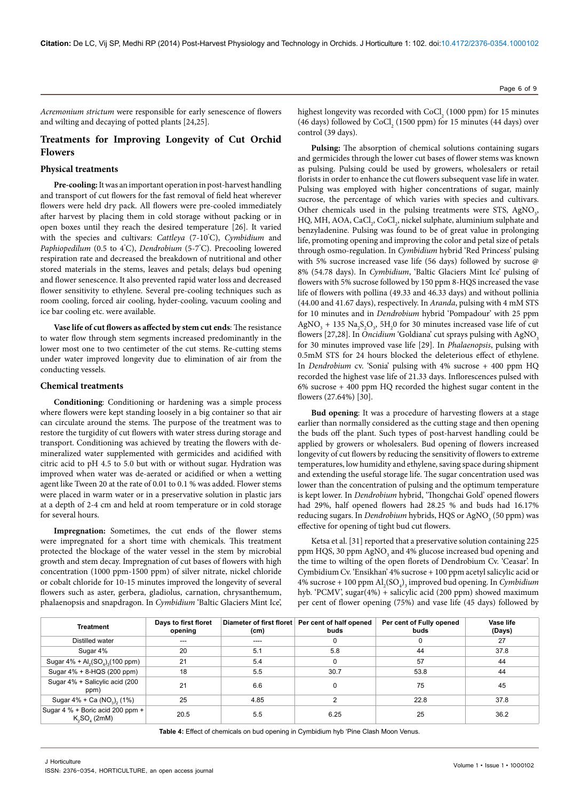*Acremonium strictum* were responsible for early senescence of flowers and wilting and decaying of potted plants [24,25].

# **Treatments for Improving Longevity of Cut Orchid Flowers**

### **Physical treatments**

**Pre-cooling:** It was an important operation in post-harvest handling and transport of cut flowers for the fast removal of field heat wherever flowers were held dry pack. All flowers were pre-cooled immediately after harvest by placing them in cold storage without packing or in open boxes until they reach the desired temperature [26]. It varied with the species and cultivars: *Cattleya* (7-10° C), *Cymbidium* and *Paphiopedilum* (0.5 to 4° C), *Dendrobium* (5-7° C). Precooling lowered respiration rate and decreased the breakdown of nutritional and other stored materials in the stems, leaves and petals; delays bud opening and flower senescence. It also prevented rapid water loss and decreased flower sensitivity to ethylene. Several pre-cooling techniques such as room cooling, forced air cooling, hyder-cooling, vacuum cooling and ice bar cooling etc. were available.

**Vase life of cut flowers as affected by stem cut ends**: The resistance to water flow through stem segments increased predominantly in the lower most one to two centimeter of the cut stems. Re-cutting stems under water improved longevity due to elimination of air from the conducting vessels.

#### **Chemical treatments**

**Conditioning**: Conditioning or hardening was a simple process where flowers were kept standing loosely in a big container so that air can circulate around the stems. The purpose of the treatment was to restore the turgidity of cut flowers with water stress during storage and transport. Conditioning was achieved by treating the flowers with demineralized water supplemented with germicides and acidified with citric acid to pH 4.5 to 5.0 but with or without sugar. Hydration was improved when water was de-aerated or acidified or when a wetting agent like Tween 20 at the rate of 0.01 to 0.1 % was added. Flower stems were placed in warm water or in a preservative solution in plastic jars at a depth of 2-4 cm and held at room temperature or in cold storage for several hours.

**Impregnation:** Sometimes, the cut ends of the flower stems were impregnated for a short time with chemicals. This treatment protected the blockage of the water vessel in the stem by microbial growth and stem decay. Impregnation of cut bases of flowers with high concentration (1000 ppm-1500 ppm) of silver nitrate, nickel chloride or cobalt chloride for 10-15 minutes improved the longevity of several flowers such as aster, gerbera, gladiolus, carnation, chrysanthemum, phalaenopsis and snapdragon. In *Cymbidium* 'Baltic Glaciers Mint Ice',

highest longevity was recorded with  $\mathrm{CoCl}_{2}$  (1000 ppm) for 15 minutes (46 days) followed by  $CoCl<sub>2</sub>$  (1500 ppm) for 15 minutes (44 days) over control (39 days).

**Pulsing:** The absorption of chemical solutions containing sugars and germicides through the lower cut bases of flower stems was known as pulsing. Pulsing could be used by growers, wholesalers or retail florists in order to enhance the cut flowers subsequent vase life in water. Pulsing was employed with higher concentrations of sugar, mainly sucrose, the percentage of which varies with species and cultivars. Other chemicals used in the pulsing treatments were STS,  $AgNO<sub>3</sub>$ , HQ, MH, AOA, CaCl<sub>2</sub>, CoCl<sub>2</sub>, nickel sulphate, aluminium sulphate and benzyladenine. Pulsing was found to be of great value in prolonging life, promoting opening and improving the color and petal size of petals through osmo-regulation. In *Cymbidium* hybrid 'Red Princess' pulsing with 5% sucrose increased vase life (56 days) followed by sucrose @ 8% (54.78 days). In *Cymbidium*, 'Baltic Glaciers Mint Ice' pulsing of flowers with 5% sucrose followed by 150 ppm 8-HQS increased the vase life of flowers with pollina (49.33 and 46.33 days) and without pollinia (44.00 and 41.67 days), respectively. In *Aranda*, pulsing with 4 mM STS for 10 minutes and in *Dendrobium* hybrid 'Pompadour' with 25 ppm AgNO<sub>3</sub> + 135 Na<sub>2</sub>S<sub>2</sub>O<sub>3</sub>, 5H<sub>2</sub>0 for 30 minutes increased vase life of cut flowers [27,28]. In *Oncidium* 'Goldiana' cut sprays pulsing with AgNO<sub>3</sub> for 30 minutes improved vase life [29]. In *Phalaenopsis*, pulsing with 0.5mM STS for 24 hours blocked the deleterious effect of ethylene. In *Dendrobium* cv. 'Sonia' pulsing with 4% sucrose + 400 ppm HQ recorded the highest vase life of 21.33 days. Inflorescences pulsed with 6% sucrose + 400 ppm HQ recorded the highest sugar content in the flowers (27.64%) [30].

**Bud opening**: It was a procedure of harvesting flowers at a stage earlier than normally considered as the cutting stage and then opening the buds off the plant. Such types of post-harvest handling could be applied by growers or wholesalers. Bud opening of flowers increased longevity of cut flowers by reducing the sensitivity of flowers to extreme temperatures, low humidity and ethylene, saving space during shipment and extending the useful storage life. The sugar concentration used was lower than the concentration of pulsing and the optimum temperature is kept lower. In *Dendrobium* hybrid, 'Thongchai Gold' opened flowers had 29%, half opened flowers had 28.25 % and buds had 16.17% reducing sugars. In *Dendrobium* hybrids, HQS or AgNO<sub>3</sub> (50 ppm) was effective for opening of tight bud cut flowers.

Ketsa et al. [31] reported that a preservative solution containing 225 ppm HQS, 30 ppm  $\mathrm{AgNO}_3$  and 4% glucose increased bud opening and the time to wilting of the open florets of Dendrobium Cv. 'Ceasar'. In Cymbidium Cv. 'Ensikhan' 4% sucrose + 100 ppm acetyl salicylic acid or  $4\%$  sucrose + 100 ppm  $\text{Al}_2(\text{SO}_4)$ <sub>3</sub> improved bud opening. In *Cymbidium* hyb. 'PCMV', sugar $(4%)$  + salicylic acid (200 ppm) showed maximum per cent of flower opening (75%) and vase life (45 days) followed by

| <b>Treatment</b>                                                              | Days to first floret<br>opening | (c <sub>m</sub> ) | Diameter of first floret Per cent of half opened<br>buds | Per cent of Fully opened<br>buds | Vase life<br>(Days) |
|-------------------------------------------------------------------------------|---------------------------------|-------------------|----------------------------------------------------------|----------------------------------|---------------------|
| Distilled water                                                               | $---$                           | ----              | 0                                                        |                                  | 27                  |
| Sugar 4%                                                                      | 20                              | 5.1               | 5.8                                                      | 44                               | 37.8                |
| Sugar 4% + Al <sub>2</sub> (SO <sub>4</sub> ) <sub>3</sub> (100 ppm)          | 21                              | 5.4               | 0                                                        | 57                               | 44                  |
| Sugar 4% + 8-HQS (200 ppm)                                                    | 18                              | 5.5               | 30.7                                                     | 53.8                             | 44                  |
| Sugar 4% + Salicylic acid (200<br>ppm)                                        | 21                              | 6.6               | 0                                                        | 75                               | 45                  |
| Sugar $4\%$ + Ca (NO <sub>3</sub> ) <sub>2</sub> (1%)                         | 25                              | 4.85              | c                                                        | 22.8                             | 37.8                |
| Sugar 4 % + Boric acid 200 ppm +<br>$K_S$ SO <sub><math>_A</math></sub> (2mM) | 20.5                            | 5.5               | 6.25                                                     | 25                               | 36.2                |

**Table 4:** Effect of chemicals on bud opening in Cymbidium hyb 'Pine Clash Moon Venus.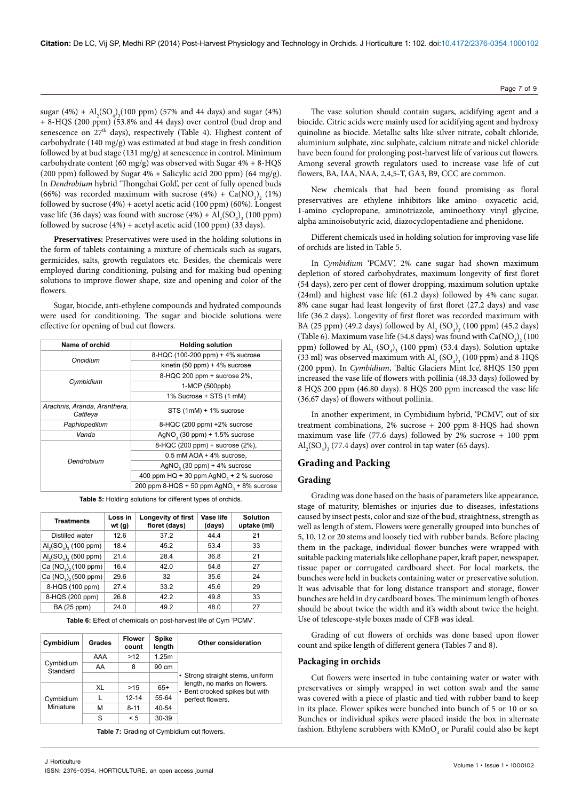sugar  $(4\%) + Al_2(SO_4)_3(100 ppm)$  (57% and 44 days) and sugar (4%) + 8-HQS (200 ppm) (53.8% and 44 days) over control (bud drop and senescence on 27<sup>th</sup> days), respectively (Table 4). Highest content of carbohydrate (140 mg/g) was estimated at bud stage in fresh condition followed by at bud stage (131 mg/g) at senescence in control. Minimum carbohydrate content (60 mg/g) was observed with Sugar  $4\% + 8$ -HQS (200 ppm) followed by Sugar  $4\%$  + Salicylic acid 200 ppm) (64 mg/g). In *Dendrobium* hybrid 'Thongchai Gold', per cent of fully opened buds (66%) was recorded maximum with sucrose (4%) +  $Ca(NO<sub>3</sub>)<sub>2</sub>$  (1%) followed by sucrose  $(4%)$  + acetyl acetic acid  $(100 ppm)$   $(60%).$  Longest vase life (36 days) was found with sucrose  $(4%) + Al_2(SO_4)_3$  (100 ppm) followed by sucrose  $(4\%)$  + acetyl acetic acid  $(100 \text{ ppm})$   $(33 \text{ days})$ .

**Preservatives:** Preservatives were used in the holding solutions in the form of tablets containing a mixture of chemicals such as sugars, germicides, salts, growth regulators etc. Besides, the chemicals were employed during conditioning, pulsing and for making bud opening solutions to improve flower shape, size and opening and color of the flowers.

Sugar, biocide, anti-ethylene compounds and hydrated compounds were used for conditioning. The sugar and biocide solutions were effective for opening of bud cut flowers.

| Name of orchid                           | <b>Holding solution</b>                             |  |  |  |
|------------------------------------------|-----------------------------------------------------|--|--|--|
| Oncidium                                 | 8-HQC (100-200 ppm) + 4% sucrose                    |  |  |  |
|                                          | kinetin (50 ppm) + $4\%$ sucrose                    |  |  |  |
|                                          | 8-HQC 200 ppm + sucrose 2%,                         |  |  |  |
| Cymbidium                                | 1-MCP (500ppb)                                      |  |  |  |
|                                          | 1% Sucrose + STS (1 mM)                             |  |  |  |
| Arachnis, Aranda, Aranthera,<br>Cattleya | STS (1mM) + 1% sucrose                              |  |  |  |
| Paphiopedilum                            | 8-HQC (200 ppm) +2% sucrose                         |  |  |  |
| Vanda                                    | $AgNO3$ (30 ppm) + 1.5% sucrose                     |  |  |  |
|                                          | 8-HQC (200 ppm) + sucrose (2%),                     |  |  |  |
|                                          | $0.5$ mM AOA + 4% sucrose,                          |  |  |  |
| Dendrobium                               | AgNO <sub>3</sub> (30 ppm) + 4% sucrose             |  |  |  |
|                                          | 400 ppm HQ + 30 ppm AgNO <sub>3</sub> + 2 % sucrose |  |  |  |
|                                          | 200 ppm $8-HQS + 50$ ppm $AgNO$ , + $8\%$ sucrose   |  |  |  |

**Table 5:** Holding solutions for different types of orchids.

| <b>Treatments</b>                            | Loss in<br>wt(g) | Longevity of first<br>floret (days) | Vase life<br>(days) | <b>Solution</b><br>uptake (ml) |
|----------------------------------------------|------------------|-------------------------------------|---------------------|--------------------------------|
| Distilled water                              | 12.6             | 37.2                                | 44.4                | 21                             |
| $AI_{2}(SO_{4})_{3}$ (100 ppm)               | 18.4             | 45.2                                | 53.4                | 33                             |
| $AI_{2}(SO_{4})_{3}(500 ppm)$                | 214              | 28.4                                | 36.8                | 21                             |
| Ca (NO <sub>3</sub> ) <sub>2</sub> (100 ppm) | 16.4             | 42.0                                | 54.8                | 27                             |
| Ca (NO <sub>3</sub> ) <sub>2</sub> (500 ppm) | 29.6             | 32                                  | 35.6                | 24                             |
| 8-HQS (100 ppm)                              | 27.4             | 33.2                                | 45.6                | 29                             |
| 8-HQS (200 ppm)                              | 26.8             | 42.2                                | 49.8                | 33                             |
| BA (25 ppm)                                  | 24.0             | 49.2                                | 48.0                | 27                             |

**Table 6:** Effect of chemicals on post-harvest life of Cym 'PCMV'.

| Cymbidium             | Grades | <b>Flower</b><br>count | <b>Spike</b><br>length | Other consideration                                                                |  |  |
|-----------------------|--------|------------------------|------------------------|------------------------------------------------------------------------------------|--|--|
|                       | AAA    | >12                    | 1.25m                  |                                                                                    |  |  |
| Cymbidium<br>Standard | AA     | 8                      | 90 cm                  |                                                                                    |  |  |
|                       |        |                        |                        | • Strong straight stems, uniform                                                   |  |  |
|                       | XL     | >15                    | $65+$                  | length, no marks on flowers.<br>• Bent crooked spikes but with<br>perfect flowers. |  |  |
| Cymbidium             | L      | $12 - 14$              | 55-64                  |                                                                                    |  |  |
| Miniature             | М      | $8 - 11$               | 40-54                  |                                                                                    |  |  |
|                       | S      | $\leq 5$               | 30-39                  |                                                                                    |  |  |

**Table 7:** Grading of Cymbidium cut flowers.

The vase solution should contain sugars, acidifying agent and a biocide. Citric acids were mainly used for acidifying agent and hydroxy quinoline as biocide. Metallic salts like silver nitrate, cobalt chloride, aluminium sulphate, zinc sulphate, calcium nitrate and nickel chloride have been found for prolonging post-harvest life of various cut flowers. Among several growth regulators used to increase vase life of cut flowers, BA, IAA, NAA, 2,4,5-T, GA3, B9, CCC are common.

New chemicals that had been found promising as floral preservatives are ethylene inhibitors like amino- oxyacetic acid, 1-amino cyclopropane, aminotriazole, aminoethoxy vinyl glycine, alpha aminoisobutyric acid, diazocyclopentadiene and phenidone.

Different chemicals used in holding solution for improving vase life of orchids are listed in Table 5.

In *Cymbidium* 'PCMV', 2% cane sugar had shown maximum depletion of stored carbohydrates, maximum longevity of first floret (54 days), zero per cent of flower dropping, maximum solution uptake (24ml) and highest vase life (61.2 days) followed by 4% cane sugar. 8% cane sugar had least longevity of first floret (27.2 days) and vase life (36.2 days). Longevity of first floret was recorded maximum with BA (25 ppm) (49.2 days) followed by  $\text{Al}_2 \text{ (SO}_4)$ <sub>3</sub> (100 ppm) (45.2 days) (Table 6). Maximum vase life (54.8 days) was found with  $Ca(\mathrm{NO}_3)_2$  (100 ppm) followed by  $\text{Al}_2$  (SO<sub>4</sub>)<sub>3</sub> (100 ppm) (53.4 days). Solution uptake (33 ml) was observed maximum with  $\text{Al}_2$  (SO<sub>4</sub>)<sub>3</sub> (100 ppm) and 8-HQS (200 ppm). In *Cymbidium*, 'Baltic Glaciers Mint Ice', 8HQS 150 ppm increased the vase life of flowers with pollinia (48.33 days) followed by 8 HQS 200 ppm (46.80 days). 8 HQS 200 ppm increased the vase life (36.67 days) of flowers without pollinia.

In another experiment, in Cymbidium hybrid, 'PCMV', out of six treatment combinations, 2% sucrose + 200 ppm 8-HQS had shown maximum vase life (77.6 days) followed by 2% sucrose + 100 ppm  $\mathrm{Al}_2(\mathrm{SO}_4)$ <sub>3</sub> (77.4 days) over control in tap water (65 days).

### **Grading and Packing**

### **Grading**

Grading was done based on the basis of parameters like appearance, stage of maturity, blemishes or injuries due to diseases, infestations caused by insect pests, color and size of the bud, straightness, strength as well as length of stem**.** Flowers were generally grouped into bunches of 5, 10, 12 or 20 stems and loosely tied with rubber bands. Before placing them in the package, individual flower bunches were wrapped with suitable packing materials like cellophane paper, kraft paper, newspaper, tissue paper or corrugated cardboard sheet. For local markets, the bunches were held in buckets containing water or preservative solution. It was advisable that for long distance transport and storage, flower bunches are held in dry cardboard boxes. The minimum length of boxes should be about twice the width and it's width about twice the height. Use of telescope-style boxes made of CFB was ideal.

Grading of cut flowers of orchids was done based upon flower count and spike length of different genera (Tables 7 and 8).

### **Packaging in orchids**

Cut flowers were inserted in tube containing water or water with preservatives or simply wrapped in wet cotton swab and the same was covered with a piece of plastic and tied with rubber band to keep in its place. Flower spikes were bunched into bunch of 5 or 10 or so. Bunches or individual spikes were placed inside the box in alternate fashion. Ethylene scrubbers with  $\text{KMnO}_4$  or Purafil could also be kept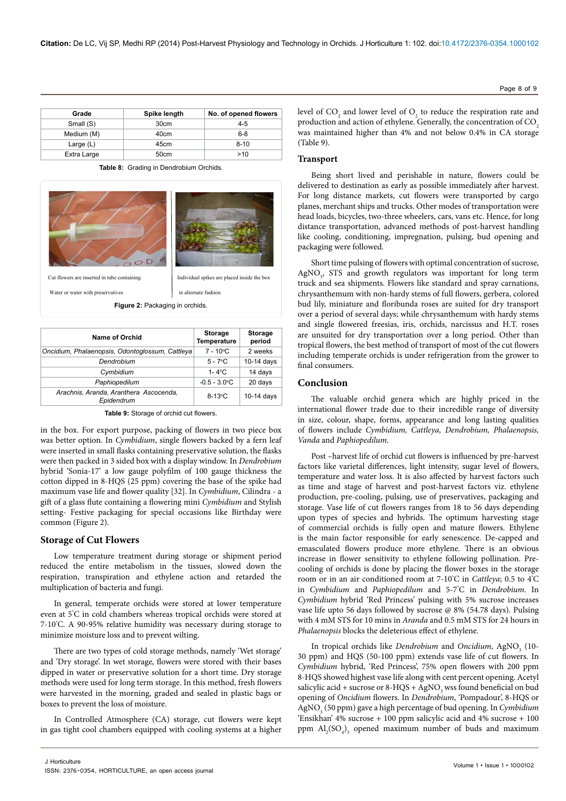| Grade       | Spike length | No. of opened flowers |
|-------------|--------------|-----------------------|
| Small (S)   | 30cm         | 4-5                   |
| Medium (M)  | 40cm         | $6 - 8$               |
| Large $(L)$ | 45cm         | $8 - 10$              |
| Extra Large | 50cm         | >10                   |

**Table 8:** Grading in Dendrobium Orchids.

Cut flowers are inserted in tube containing Individual spikes are placed inside the box Water or water with preservatives in alternate fashion **Figure 2:** Packaging in orchids.

| Figure 2: Packaging in orchids.                      |                                      |                          |  |  |  |
|------------------------------------------------------|--------------------------------------|--------------------------|--|--|--|
| Name of Orchid                                       | <b>Storage</b><br><b>Temperature</b> | <b>Storage</b><br>period |  |  |  |
| Oncidium, Phalaenopsis, Odontoglossum, Cattleya      | $7 - 10^{\circ}$ C                   | 2 weeks                  |  |  |  |
| Dendrobium                                           | $5 - 7^{\circ}$ C                    | $10-14$ days             |  |  |  |
| Cymbidium                                            | 1-4°C                                | 14 days                  |  |  |  |
| Paphiopedilum                                        | $-0.5 - 3.0$ °C                      | 20 days                  |  |  |  |
| Arachnis, Aranda, Aranthera Ascocenda.<br>Epidendrum | $8-13$ °C                            | $10-14$ days             |  |  |  |

**Table 9:** Storage of orchid cut flowers.

in the box. For export purpose, packing of flowers in two piece box was better option. In *Cymbidium*, single flowers backed by a fern leaf were inserted in small flasks containing preservative solution, the flasks were then packed in 3 sided box with a display window. In *Dendrobium* hybrid 'Sonia-17' a low gauge polyfilm of 100 gauge thickness the cotton dipped in 8-HQS (25 ppm) covering the base of the spike had maximum vase life and flower quality [32]. In *Cymbidium*, Cilindra - a gift of a glass flute containing a flowering mini *Cymbidium* and Stylish setting- Festive packaging for special occasions like Birthday were common (Figure 2).

# **Storage of Cut Flowers**

Low temperature treatment during storage or shipment period reduced the entire metabolism in the tissues, slowed down the respiration, transpiration and ethylene action and retarded the multiplication of bacteria and fungi.

In general, temperate orchids were stored at lower temperature even at 5° C in cold chambers whereas tropical orchids were stored at 7-10° C. A 90-95% relative humidity was necessary during storage to minimize moisture loss and to prevent wilting.

There are two types of cold storage methods, namely 'Wet storage' and 'Dry storage'. In wet storage, flowers were stored with their bases dipped in water or preservative solution for a short time. Dry storage methods were used for long term storage. In this method, fresh flowers were harvested in the morning, graded and sealed in plastic bags or boxes to prevent the loss of moisture.

In Controlled Atmosphere (CA) storage, cut flowers were kept in gas tight cool chambers equipped with cooling systems at a higher

level of  $\mathrm{CO}_2$  and lower level of  $\mathrm{O}_2$  to reduce the respiration rate and production and action of ethylene. Generally, the concentration of CO<sub>2</sub> was maintained higher than 4% and not below 0.4% in CA storage (Table 9).

### **Transport**

Being short lived and perishable in nature, flowers could be delivered to destination as early as possible immediately after harvest. For long distance markets, cut flowers were transported by cargo planes, merchant ships and trucks. Other modes of transportation were head loads, bicycles, two-three wheelers, cars, vans etc. Hence, for long distance transportation, advanced methods of post-harvest handling like cooling, conditioning, impregnation, pulsing, bud opening and packaging were followed.

Short time pulsing of flowers with optimal concentration of sucrose,  $AgNO<sub>3</sub>$ , STS and growth regulators was important for long term truck and sea shipments. Flowers like standard and spray carnations, chrysanthemum with non-hardy stems of full flowers, gerbera, colored bud lily, miniature and floribunda roses are suited for dry transport over a period of several days; while chrysanthemum with hardy stems and single flowered freesias, iris, orchids, narcissus and H.T. roses are unsuited for dry transportation over a long period. Other than tropical flowers, the best method of transport of most of the cut flowers including temperate orchids is under refrigeration from the grower to final consumers.

### **Conclusion**

The valuable orchid genera which are highly priced in the international flower trade due to their incredible range of diversity in size, colour, shape, forms, appearance and long lasting qualities of flowers include *Cymbidium, Cattleya, Dendrobium, Phalaenopsis, Vanda* and *Paphiopedilum*.

Post –harvest life of orchid cut flowers is influenced by pre-harvest factors like varietal differences, light intensity, sugar level of flowers, temperature and water loss. It is also affected by harvest factors such as time and stage of harvest and post-harvest factors viz. ethylene production, pre-cooling, pulsing, use of preservatives, packaging and storage. Vase life of cut flowers ranges from 18 to 56 days depending upon types of species and hybrids. The optimum harvesting stage of commercial orchids is fully open and mature flowers. Ethylene is the main factor responsible for early senescence. De-capped and emasculated flowers produce more ethylene. There is an obvious increase in flower sensitivity to ethylene following pollination. Precooling of orchids is done by placing the flower boxes in the storage room or in an air conditioned room at 7-10° C in *Cattleya*; 0.5 to 4° C in *Cymbidium* and *Paphiopedilum* and 5-7° C in *Dendrobium*. In *Cymbidium* hybrid 'Red Princess' pulsing with 5% sucrose increases vase life upto 56 days followed by sucrose @ 8% (54.78 days). Pulsing with 4 mM STS for 10 mins in *Aranda* and 0.5 mM STS for 24 hours in *Phalaenopsis* blocks the deleterious effect of ethylene.

In tropical orchids like *Dendrobium* and *Oncidium*, AgNO<sub>3</sub> (10-30 ppm) and HQS (50-100 ppm) extends vase life of cut flowers. In *Cymbidium* hybrid, 'Red Princess', 75% open flowers with 200 ppm 8-HQS showed highest vase life along with cent percent opening. Acetyl salicylic acid + sucrose or  $8-\text{HQS} + \text{AgNO}_3$  wss found beneficial on bud opening of *Oncidium* flowers. In *Dendrobium*, 'Pompadour', 8-HQS or AgNO<sub>3</sub> (50 ppm) gave a high percentage of bud opening. In *Cymbidium* 'Ensikhan' 4% sucrose + 100 ppm salicylic acid and 4% sucrose + 100 ppm  $\text{Al}_2(\text{SO}_4)$ <sub>3</sub> opened maximum number of buds and maximum

#### Page 8 of 9